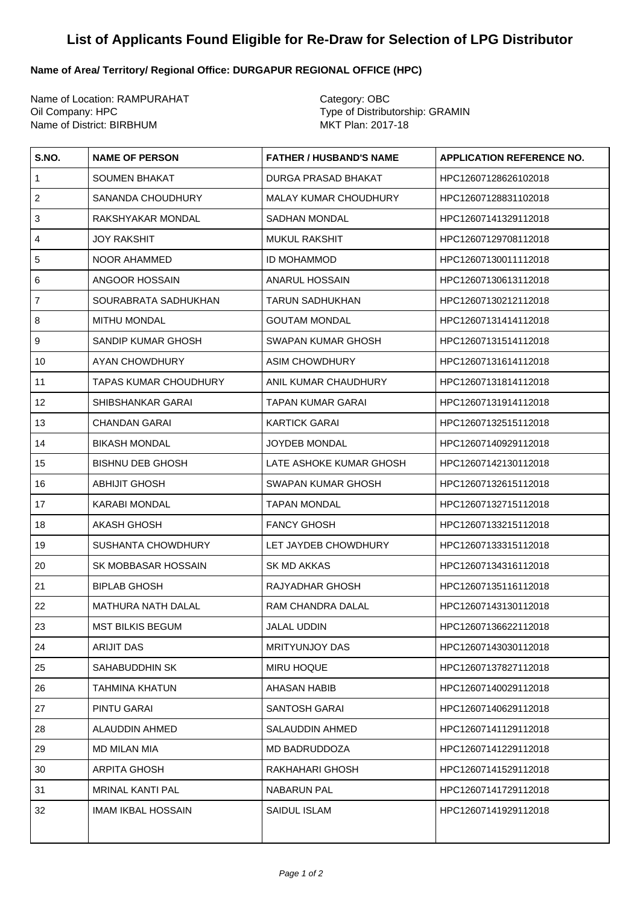## **List of Applicants Found Eligible for Re-Draw for Selection of LPG Distributor**

## **Name of Area/ Territory/ Regional Office: DURGAPUR REGIONAL OFFICE (HPC)**

Name of Location: RAMPURAHAT Category: OBC Oil Company: HPC<br>
Name of District: BIRBHUM<br>
Name of District: BIRBHUM<br>
Type of Distributorship: GRAMIN Name of District: BIRBHUM

| S.NO.                   | <b>NAME OF PERSON</b>        | <b>FATHER / HUSBAND'S NAME</b> | <b>APPLICATION REFERENCE NO.</b> |
|-------------------------|------------------------------|--------------------------------|----------------------------------|
| $\mathbf{1}$            | <b>SOUMEN BHAKAT</b>         | DURGA PRASAD BHAKAT            | HPC12607128626102018             |
| $\boldsymbol{2}$        | SANANDA CHOUDHURY            | MALAY KUMAR CHOUDHURY          | HPC12607128831102018             |
| 3                       | RAKSHYAKAR MONDAL            | <b>SADHAN MONDAL</b>           | HPC12607141329112018             |
| $\overline{\mathbf{4}}$ | <b>JOY RAKSHIT</b>           | <b>MUKUL RAKSHIT</b>           | HPC12607129708112018             |
| 5                       | NOOR AHAMMED                 | <b>ID MOHAMMOD</b>             | HPC12607130011112018             |
| 6                       | ANGOOR HOSSAIN               | ANARUL HOSSAIN                 | HPC12607130613112018             |
| $\overline{7}$          | SOURABRATA SADHUKHAN         | TARUN SADHUKHAN                | HPC12607130212112018             |
| 8                       | <b>MITHU MONDAL</b>          | <b>GOUTAM MONDAL</b>           | HPC12607131414112018             |
| 9                       | SANDIP KUMAR GHOSH           | SWAPAN KUMAR GHOSH             | HPC12607131514112018             |
| 10                      | AYAN CHOWDHURY               | <b>ASIM CHOWDHURY</b>          | HPC12607131614112018             |
| 11                      | <b>TAPAS KUMAR CHOUDHURY</b> | ANIL KUMAR CHAUDHURY           | HPC12607131814112018             |
| 12                      | SHIBSHANKAR GARAI            | TAPAN KUMAR GARAI              | HPC12607131914112018             |
| 13                      | <b>CHANDAN GARAI</b>         | KARTICK GARAI                  | HPC12607132515112018             |
| 14                      | <b>BIKASH MONDAL</b>         | JOYDEB MONDAL                  | HPC12607140929112018             |
| 15                      | <b>BISHNU DEB GHOSH</b>      | LATE ASHOKE KUMAR GHOSH        | HPC12607142130112018             |
| 16                      | <b>ABHIJIT GHOSH</b>         | SWAPAN KUMAR GHOSH             | HPC12607132615112018             |
| 17                      | <b>KARABI MONDAL</b>         | <b>TAPAN MONDAL</b>            | HPC12607132715112018             |
| 18                      | <b>AKASH GHOSH</b>           | <b>FANCY GHOSH</b>             | HPC12607133215112018             |
| 19                      | <b>SUSHANTA CHOWDHURY</b>    | LET JAYDEB CHOWDHURY           | HPC12607133315112018             |
| 20                      | SK MOBBASAR HOSSAIN          | SK MD AKKAS                    | HPC12607134316112018             |
| 21                      | <b>BIPLAB GHOSH</b>          | RAJYADHAR GHOSH                | HPC12607135116112018             |
| 22                      | <b>MATHURA NATH DALAL</b>    | <b>RAM CHANDRA DALAL</b>       | HPC12607143130112018             |
| 23                      | <b>MST BILKIS BEGUM</b>      | <b>JALAL UDDIN</b>             | HPC12607136622112018             |
| 24                      | <b>ARIJIT DAS</b>            | <b>MRITYUNJOY DAS</b>          | HPC12607143030112018             |
| 25                      | SAHABUDDHIN SK               | <b>MIRU HOQUE</b>              | HPC12607137827112018             |
| 26                      | <b>TAHMINA KHATUN</b>        | <b>AHASAN HABIB</b>            | HPC12607140029112018             |
| 27                      | <b>PINTU GARAI</b>           | SANTOSH GARAI                  | HPC12607140629112018             |
| 28                      | ALAUDDIN AHMED               | SALAUDDIN AHMED                | HPC12607141129112018             |
| 29                      | MD MILAN MIA                 | MD BADRUDDOZA                  | HPC12607141229112018             |
| 30                      | <b>ARPITA GHOSH</b>          | RAKHAHARI GHOSH                | HPC12607141529112018             |
| 31                      | <b>MRINAL KANTI PAL</b>      | <b>NABARUN PAL</b>             | HPC12607141729112018             |
| 32                      | <b>IMAM IKBAL HOSSAIN</b>    | SAIDUL ISLAM                   | HPC12607141929112018             |
|                         |                              |                                |                                  |